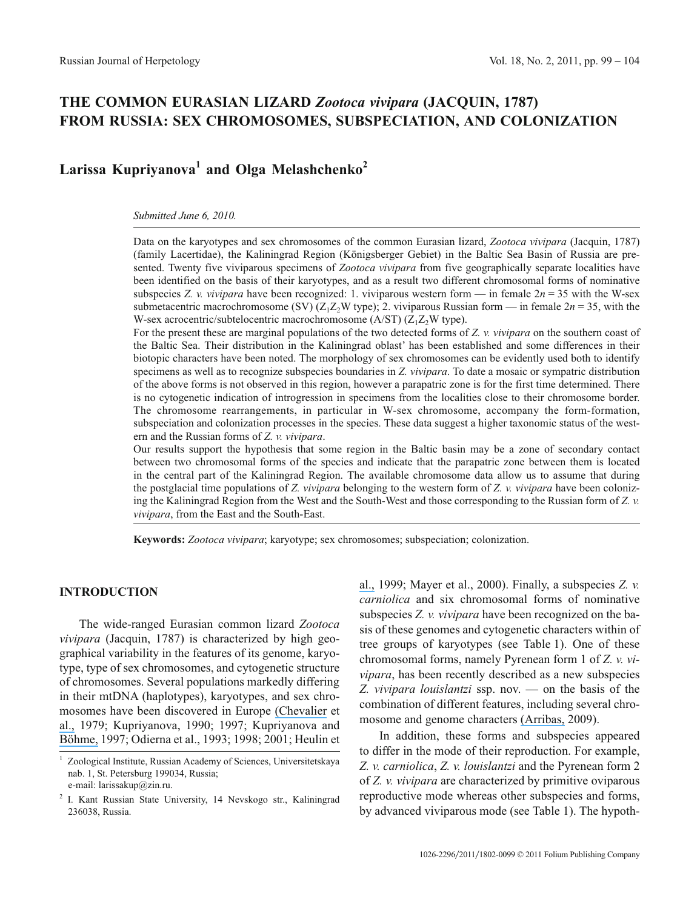# **THE COMMON EURASIAN LIZARD** *Zootoca vivipara* **(JACQUIN, 1787) FROM RUSSIA: SEX CHROMOSOMES, SUBSPECIATION, AND COLONIZATION**

# **Larissa Kupriyanova<sup>1</sup> and Olga Melashchenko<sup>2</sup>**

#### *Submitted June 6, 2010.*

Data on the karyotypes and sex chromosomes of the common Eurasian lizard, *Zootoca vivipara* (Jacquin, 1787) (family Lacertidae), the Kaliningrad Region (Königsberger Gebiet) in the Baltic Sea Basin of Russia are presented. Twenty five viviparous specimens of *Zootoca vivipara* from five geographically separate localities have been identified on the basis of their karyotypes, and as a result two different chromosomal forms of nominative subspecies *Z. v. vivipara* have been recognized: 1. viviparous western form — in female  $2n = 35$  with the W-sex submetacentric macrochromosome (SV)  $(Z_1Z_2W$  type); 2. viviparous Russian form — in female  $2n = 35$ , with the W-sex acrocentric/subtelocentric macrochromosome (A/ST)  $(Z_1Z_2W$  type).

For the present these are marginal populations of the two detected forms of *Z. v. vivipara* on the southern coast of the Baltic Sea. Their distribution in the Kaliningrad oblast' has been established and some differences in their biotopic characters have been noted. The morphology of sex chromosomes can be evidently used both to identify specimens as well as to recognize subspecies boundaries in *Z. vivipara*. To date a mosaic or sympatric distribution of the above forms is not observed in this region, however a parapatric zone is for the first time determined. There is no cytogenetic indication of introgression in specimens from the localities close to their chromosome border. The chromosome rearrangements, in particular in W-sex chromosome, accompany the form-formation, subspeciation and colonization processes in the species. These data suggest a higher taxonomic status of the western and the Russian forms of *Z. v. vivipara*.

Our results support the hypothesis that some region in the Baltic basin may be a zone of secondary contact between two chromosomal forms of the species and indicate that the parapatric zone between them is located in the central part of the Kaliningrad Region. The available chromosome data allow us to assume that during the postglacial time populations of *Z. vivipara* belonging to the western form of *Z. v. vivipara* have been colonizing the Kaliningrad Region from the West and the South-West and those corresponding to the Russian form of *Z. v. vivipara*, from the East and the South-East.

**Keywords:** *Zootoca vivipara*; karyotype; sex chromosomes; subspeciation; colonization.

### **INTRODUCTION**

The wide-ranged Eurasian common lizard *Zootoca vivipara* (Jacquin, 1787) is characterized by high geographical variability in the features of its genome, karyotype, type of sex chromosomes, and cytogenetic structure of chromosomes. Several populations markedly differing in their mtDNA (haplotypes), karyotypes, and sex chromosomes have been discovered in Europe [\(Chevalier](https://www.researchgate.net/publication/12717139_Comparisons_of_mitochondrial_DNA_mtDNA_sequences_16S_rRNA_gene_between_oviparous_and_viviparous_strains_of?el=1_x_8&enrichId=rgreq-debf8d1b-8511-4182-83f8-4aaef228a96d&enrichSource=Y292ZXJQYWdlOzI4MTQwNjM0MztBUzoyNjg4NTQ3NjUwMjczMzFAMTQ0MTExMTM3OTUzMg==) et [al.,](https://www.researchgate.net/publication/12717139_Comparisons_of_mitochondrial_DNA_mtDNA_sequences_16S_rRNA_gene_between_oviparous_and_viviparous_strains_of?el=1_x_8&enrichId=rgreq-debf8d1b-8511-4182-83f8-4aaef228a96d&enrichSource=Y292ZXJQYWdlOzI4MTQwNjM0MztBUzoyNjg4NTQ3NjUwMjczMzFAMTQ0MTExMTM3OTUzMg==) 1979; Kupriyanova, 1990; 1997; Kupriyanova and [Böhme,](https://www.researchgate.net/publication/12717139_Comparisons_of_mitochondrial_DNA_mtDNA_sequences_16S_rRNA_gene_between_oviparous_and_viviparous_strains_of?el=1_x_8&enrichId=rgreq-debf8d1b-8511-4182-83f8-4aaef228a96d&enrichSource=Y292ZXJQYWdlOzI4MTQwNjM0MztBUzoyNjg4NTQ3NjUwMjczMzFAMTQ0MTExMTM3OTUzMg==) 1997; Odierna et al., 1993; 1998; 2001; Heulin et [al.,](https://www.researchgate.net/publication/12717139_Comparisons_of_mitochondrial_DNA_mtDNA_sequences_16S_rRNA_gene_between_oviparous_and_viviparous_strains_of?el=1_x_8&enrichId=rgreq-debf8d1b-8511-4182-83f8-4aaef228a96d&enrichSource=Y292ZXJQYWdlOzI4MTQwNjM0MztBUzoyNjg4NTQ3NjUwMjczMzFAMTQ0MTExMTM3OTUzMg==) 1999; Mayer et al., 2000). Finally, a subspecies *Z. v. carniolica* and six chromosomal forms of nominative subspecies *Z. v. vivipara* have been recognized on the basis of these genomes and cytogenetic characters within of tree groups of karyotypes (see Table 1). One of these chromosomal forms, namely Pyrenean form 1 of *Z. v. vivipara*, has been recently described as a new subspecies *Z. vivipara louislantzi* ssp. nov. — on the basis of the combination of different features, including several chromosome and genome characters [\(Arribas,](https://www.researchgate.net/publication/237649370_Morphological_variability_of_the_Cantabro-Pyrenean_populations_of_Zootoca_vivipara_JACQUIN_1787_with_description_of_a_new_subspecies_Squamata_Sauria_Lacertidae_Morphologische_Variabilitat_der_kantabro?el=1_x_8&enrichId=rgreq-debf8d1b-8511-4182-83f8-4aaef228a96d&enrichSource=Y292ZXJQYWdlOzI4MTQwNjM0MztBUzoyNjg4NTQ3NjUwMjczMzFAMTQ0MTExMTM3OTUzMg==) 2009).

In addition, these forms and subspecies appeared to differ in the mode of their reproduction. For example, *Z. v. carniolica*, *Z. v. louislantzi* and the Pyrenean form 2 of *Z. v. vivipara* are characterized by primitive oviparous reproductive mode whereas other subspecies and forms, by advanced viviparous mode (see Table 1). The hypoth-

<sup>1</sup> Zoological Institute, Russian Academy of Sciences, Universitetskaya nab. 1, St. Petersburg 199034, Russia; e-mail: larissakup@zin.ru.

<sup>2</sup> I. Kant Russian State University, 14 Nevskogo str., Kaliningrad 236038, Russia.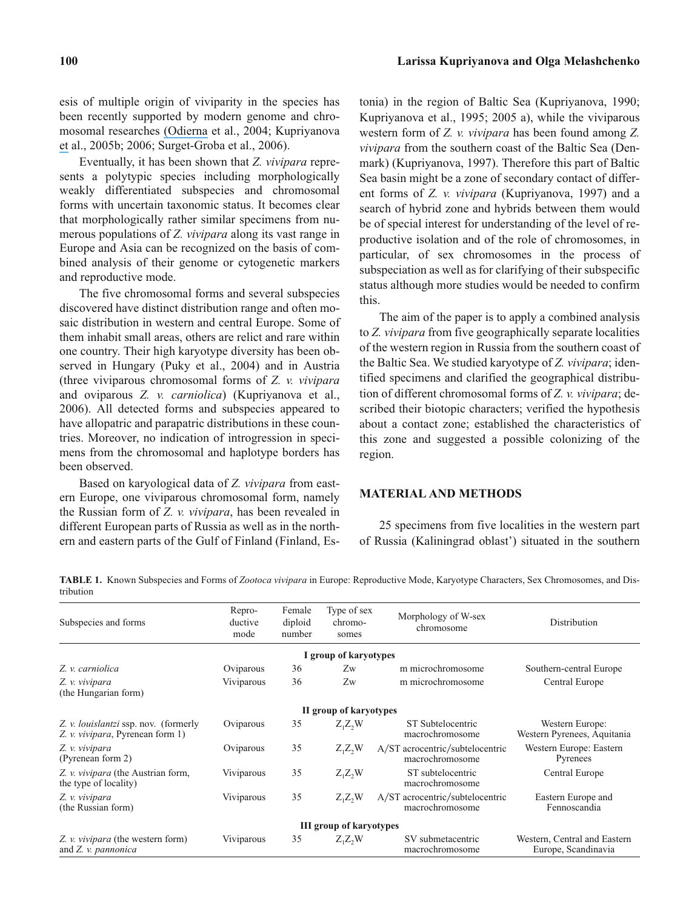esis of multiple origin of viviparity in the species has been recently supported by modern genome and chromosomal researches [\(Odierna](https://www.researchgate.net/publication/271511904_Chromosomal_evidence_for_the_double_origin_of_viviparity_in_the_European_common_lizard_Lacerta_Zootoca_vivipara?el=1_x_8&enrichId=rgreq-debf8d1b-8511-4182-83f8-4aaef228a96d&enrichSource=Y292ZXJQYWdlOzI4MTQwNjM0MztBUzoyNjg4NTQ3NjUwMjczMzFAMTQ0MTExMTM3OTUzMg==) et al., 2004; Kupriyanova [et](https://www.researchgate.net/publication/271511904_Chromosomal_evidence_for_the_double_origin_of_viviparity_in_the_European_common_lizard_Lacerta_Zootoca_vivipara?el=1_x_8&enrichId=rgreq-debf8d1b-8511-4182-83f8-4aaef228a96d&enrichSource=Y292ZXJQYWdlOzI4MTQwNjM0MztBUzoyNjg4NTQ3NjUwMjczMzFAMTQ0MTExMTM3OTUzMg==) al., 2005b; 2006; Surget-Groba et al., 2006).

Eventually, it has been shown that *Z. vivipara* represents a polytypic species including morphologically weakly differentiated subspecies and chromosomal forms with uncertain taxonomic status. It becomes clear that morphologically rather similar specimens from numerous populations of *Z. vivipara* along its vast range in Europe and Asia can be recognized on the basis of combined analysis of their genome or cytogenetic markers and reproductive mode.

The five chromosomal forms and several subspecies discovered have distinct distribution range and often mosaic distribution in western and central Europe. Some of them inhabit small areas, others are relict and rare within one country. Their high karyotype diversity has been observed in Hungary (Puky et al., 2004) and in Austria (three viviparous chromosomal forms of *Z. v. vivipara* and oviparous *Z. v. carniolica*) (Kupriyanova et al., 2006). All detected forms and subspecies appeared to have allopatric and parapatric distributions in these countries. Moreover, no indication of introgression in specimens from the chromosomal and haplotype borders has been observed.

Based on karyological data of *Z. vivipara* from eastern Europe, one viviparous chromosomal form, namely the Russian form of *Z. v. vivipara*, has been revealed in different European parts of Russia as well as in the northern and eastern parts of the Gulf of Finland (Finland, Estonia) in the region of Baltic Sea (Kupriyanova, 1990; Kupriyanova et al., 1995; 2005 a), while the viviparous western form of *Z. v. vivipara* has been found among *Z. vivipara* from the southern coast of the Baltic Sea (Denmark) (Kupriyanova, 1997). Therefore this part of Baltic Sea basin might be a zone of secondary contact of different forms of *Z. v. vivipara* (Kupriyanova, 1997) and a search of hybrid zone and hybrids between them would be of special interest for understanding of the level of reproductive isolation and of the role of chromosomes, in particular, of sex chromosomes in the process of subspeciation as well as for clarifying of their subspecific status although more studies would be needed to confirm this.

The aim of the paper is to apply a combined analysis to *Z. vivipara* from five geographically separate localities of the western region in Russia from the southern coast of the Baltic Sea. We studied karyotype of *Z. vivipara*; identified specimens and clarified the geographical distribution of different chromosomal forms of *Z. v. vivipara*; described their biotopic characters; verified the hypothesis about a contact zone; established the characteristics of this zone and suggested a possible colonizing of the region.

## **MATERIAL AND METHODS**

25 specimens from five localities in the western part of Russia (Kaliningrad oblast') situated in the southern

**TABLE 1.** Known Subspecies and Forms of *Zootoca vivipara* in Europe: Reproductive Mode, Karyotype Characters, Sex Chromosomes, and Distribution

| Subspecies and forms                                                             | Repro-<br>ductive<br>mode | Female<br>diploid<br>number | Type of sex<br>chromo-<br>somes | Morphology of W-sex<br>chromosome                  | Distribution                                        |
|----------------------------------------------------------------------------------|---------------------------|-----------------------------|---------------------------------|----------------------------------------------------|-----------------------------------------------------|
|                                                                                  |                           |                             | I group of karyotypes           |                                                    |                                                     |
| Z. v. carniolica                                                                 | Oviparous                 | 36                          | Zw                              | m microchromosome                                  | Southern-central Europe                             |
| Z. v. vivipara<br>(the Hungarian form)                                           | Viviparous                | 36                          | Zw                              | m microchromosome                                  | Central Europe                                      |
|                                                                                  |                           |                             | II group of karyotypes          |                                                    |                                                     |
| Z. v. <i>louislantzi</i> ssp. nov. (formerly<br>Z. v. vivipara, Pyrenean form 1) | Oviparous                 | 35                          | $Z_1Z_2W$                       | ST Subtelocentric<br>macrochromosome               | Western Europe:<br>Western Pyrenees, Aquitania      |
| Z. v. vivipara<br>(Pyrenean form 2)                                              | Oviparous                 | 35                          | $Z_1Z_2W$                       | A/ST acrocentric/subtelocentric<br>macrochromosome | Western Europe: Eastern<br>Pyrenees                 |
| Z. v. vivipara (the Austrian form,<br>the type of locality)                      | Viviparous                | 35                          | $Z_1Z_2W$                       | ST subtelocentric<br>macrochromosome               | Central Europe                                      |
| Z. v. vivipara<br>(the Russian form)                                             | Viviparous                | 35                          | $Z_1Z_2W$                       | A/ST acrocentric/subtelocentric<br>macrochromosome | Eastern Europe and<br>Fennoscandia                  |
|                                                                                  |                           |                             | <b>III group of karyotypes</b>  |                                                    |                                                     |
| Z. v. vivipara (the western form)<br>and Z. v. pannonica                         | Viviparous                | 35                          | $Z_1Z_2W$                       | SV submetacentric<br>macrochromosome               | Western, Central and Eastern<br>Europe, Scandinavia |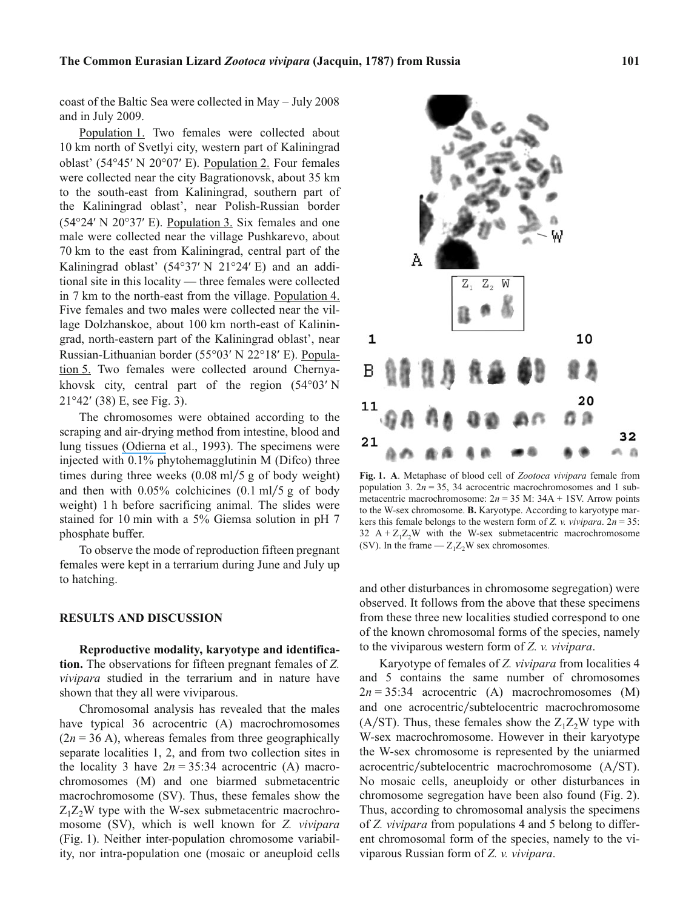coast of the Baltic Sea were collected in May – July 2008 and in July 2009.

Population 1. Two females were collected about 10 km north of Svetlyi city, western part of Kaliningrad 10 km north of Svetlyi city, western part of Kaliningrad<br>oblast' (54°45' N 20°07' E). Population 2. Four females were collected near the city Bagrationovsk, about 35 km to the south-east from Kaliningrad, southern part of the Kaliningrad oblast', near Polish-Russian border<br>(54°24' N 20°37' E). Population 3. Six females and one  $(54^{\circ}24' \text{ N } 20^{\circ}37' \text{ E})$ . Population 3. Six females and one male were collected near the village Pushkarevo, about 70 km to the east from Kaliningrad, central part of the 70 km to the east from Kaliningrad, central part of the Kaliningrad oblast'  $(54^{\circ}37' N 21^{\circ}24' E)$  and an additional site in this locality — three females were collected in 7 km to the north-east from the village. Population 4. Five females and two males were collected near the village Dolzhanskoe, about 100 km north-east of Kaliningrad, north-eastern part of the Kaliningrad oblast', near<br>Russian-Lithuanian border (55°03' N 22°18' E). Popula-Russian-Lithuanian border (55°03' N 22°18' E). Population 5. Two females were collected around Chernya-<br>khovsk city, central part of the region (54°03' N khovsk city, central part of the region  $(54^{\circ}03' N 21^{\circ}42' (38) E$ , see Fig. 3).  $21^{\circ}42'$  (38) E, see Fig. 3).

The chromosomes were obtained according to the scraping and air-drying method from intestine, blood and lung tissues [\(Odierna](https://www.researchgate.net/publication/225203216_Evolution_of_sex_chromosomes_in_Lacertid_lizards?el=1_x_8&enrichId=rgreq-debf8d1b-8511-4182-83f8-4aaef228a96d&enrichSource=Y292ZXJQYWdlOzI4MTQwNjM0MztBUzoyNjg4NTQ3NjUwMjczMzFAMTQ0MTExMTM3OTUzMg==) et al., 1993). The specimens were injected with 0.1% phytohemagglutinin M (Difco) three times during three weeks  $(0.08 \text{ ml}/5 \text{ g of body weight})$ and then with  $0.05\%$  colchicines  $(0.1 \text{ ml}/5 \text{ g of body})$ weight) 1 h before sacrificing animal. The slides were stained for 10 min with a 5% Giemsa solution in pH 7 phosphate buffer.

To observe the mode of reproduction fifteen pregnant females were kept in a terrarium during June and July up to hatching.

#### **RESULTS AND DISCUSSION**

**Reproductive modality, karyotype and identification.** The observations for fifteen pregnant females of *Z. vivipara* studied in the terrarium and in nature have shown that they all were viviparous.

Chromosomal analysis has revealed that the males have typical 36 acrocentric (A) macrochromosomes  $(2n = 36 \text{ A})$ , whereas females from three geographically separate localities 1, 2, and from two collection sites in the locality 3 have  $2n = 35:34$  acrocentric (A) macrochromosomes (M) and one biarmed submetacentric macrochromosome (SV). Thus, these females show the  $Z_1Z_2W$  type with the W-sex submetacentric macrochromosome (SV), which is well known for *Z. vivipara* (Fig. 1). Neither inter-population chromosome variability, nor intra-population one (mosaic or aneuploid cells



and other disturbances in chromosome segregation) were observed. It follows from the above that these specimens from these three new localities studied correspond to one of the known chromosomal forms of the species, namely to the viviparous western form of *Z. v. vivipara*.

Karyotype of females of *Z. vivipara* from localities 4 and 5 contains the same number of chromosomes  $2n = 35:34$  acrocentric (A) macrochromosomes (M) and one acrocentric/subtelocentric macrochromosome (A/ST). Thus, these females show the  $Z_1Z_2W$  type with W-sex macrochromosome. However in their karyotype the W-sex chromosome is represented by the uniarmed acrocentric/subtelocentric macrochromosome (A/ST). No mosaic cells, aneuploidy or other disturbances in chromosome segregation have been also found (Fig. 2). Thus, according to chromosomal analysis the specimens of *Z. vivipara* from populations 4 and 5 belong to different chromosomal form of the species, namely to the viviparous Russian form of *Z. v. vivipara*.

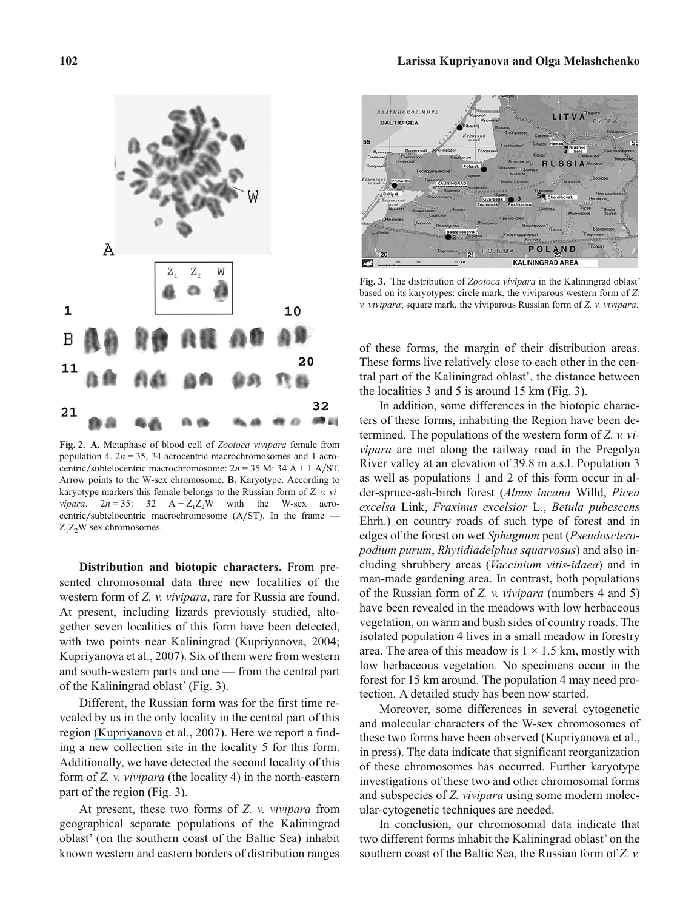# Α Ζ,  $Z_{2}$ W 1 10 В  $20$ 11 蟲 32 21

**Fig. 2. A.** Metaphase of blood cell of *Zootoca vivipara* female from population 4.  $2n = 35$ , 34 acrocentric macrochromosomes and 1 acrocentric/subtelocentric macrochromosome:  $2n = 35$  M: 34 A + 1 A/ST. Arrow points to the W-sex chromosome. **B.** Karyotype. According to karyotype markers this female belongs to the Russian form of *Z. v. vivipara*.  $2n = 35$ :  $32 \text{ A} + Z_1Z_2\text{W}$  with the W-sex acrocentric/subtelocentric macrochromosome (A/ST). In the frame —  $Z_1Z_2W$  sex chromosomes.

AP 23

o

**Distribution and biotopic characters.** From presented chromosomal data three new localities of the western form of *Z. v. vivipara*, rare for Russia are found. At present, including lizards previously studied, altogether seven localities of this form have been detected, with two points near Kaliningrad (Kupriyanova, 2004; Kupriyanova et al., 2007). Six of them were from western and south-western parts and one — from the central part of the Kaliningrad oblast' (Fig. 3).

Different, the Russian form was for the first time revealed by us in the only locality in the central part of this region [\(Kupriyanova](https://www.researchgate.net/publication/5927374_Karyological_investigations_of_populations_of_the_lizard_Zootoca_vivipara_Juaquin_1787_from_the_Baltic_Sea_basin_Western_Region_of_Russia?el=1_x_8&enrichId=rgreq-debf8d1b-8511-4182-83f8-4aaef228a96d&enrichSource=Y292ZXJQYWdlOzI4MTQwNjM0MztBUzoyNjg4NTQ3NjUwMjczMzFAMTQ0MTExMTM3OTUzMg==) et al., 2007). Here we report a finding a new collection site in the locality 5 for this form. Additionally, we have detected the second locality of this form of *Z. v. vivipara* (the locality 4) in the north-eastern part of the region (Fig. 3).

At present, these two forms of *Z. v. vivipara* from geographical separate populations of the Kaliningrad oblast' (on the southern coast of the Baltic Sea) inhabit known western and eastern borders of distribution ranges



**Fig. 3.** The distribution of *Zootoca vivipara* in the Kaliningrad oblast' based on its karyotypes: circle mark, the viviparous western form of *Z. v. vivipara*; square mark, the viviparous Russian form of *Z. v. vivipara*.

of these forms, the margin of their distribution areas. These forms live relatively close to each other in the central part of the Kaliningrad oblast', the distance between the localities 3 and 5 is around 15 km (Fig. 3).

In addition, some differences in the biotopic characters of these forms, inhabiting the Region have been determined. The populations of the western form of *Z. v. vivipara* are met along the railway road in the Pregolya River valley at an elevation of 39.8 m a.s.l. Population 3 as well as populations 1 and 2 of this form occur in alder-spruce-ash-birch forest (*Alnus incana* Willd, *Picea excelsa* Link, *Fraxinus excelsior* L., *Betula pubescens* Ehrh.) on country roads of such type of forest and in edges of the forest on wet *Sphagnum* peat (*Pseudoscleropodium purum*, *Rhytidiadelphus squarvosus*) and also including shrubbery areas (*Vaccinium vitis-idaea*) and in man-made gardening area. In contrast, both populations of the Russian form of *Z. v. vivipara* (numbers 4 and 5) have been revealed in the meadows with low herbaceous vegetation, on warm and bush sides of country roads. The isolated population 4 lives in a small meadow in forestry area. The area of this meadow is  $1 \times 1.5$  km, mostly with low herbaceous vegetation. No specimens occur in the forest for 15 km around. The population 4 may need protection. A detailed study has been now started.

Moreover, some differences in several cytogenetic and molecular characters of the W-sex chromosomes of these two forms have been observed (Kupriyanova et al., in press). The data indicate that significant reorganization of these chromosomes has occurred. Further karyotype investigations of these two and other chromosomal forms and subspecies of *Z. vivipara* using some modern molecular-cytogenetic techniques are needed.

In conclusion, our chromosomal data indicate that two different forms inhabit the Kaliningrad oblast' on the southern coast of the Baltic Sea, the Russian form of *Z. v.*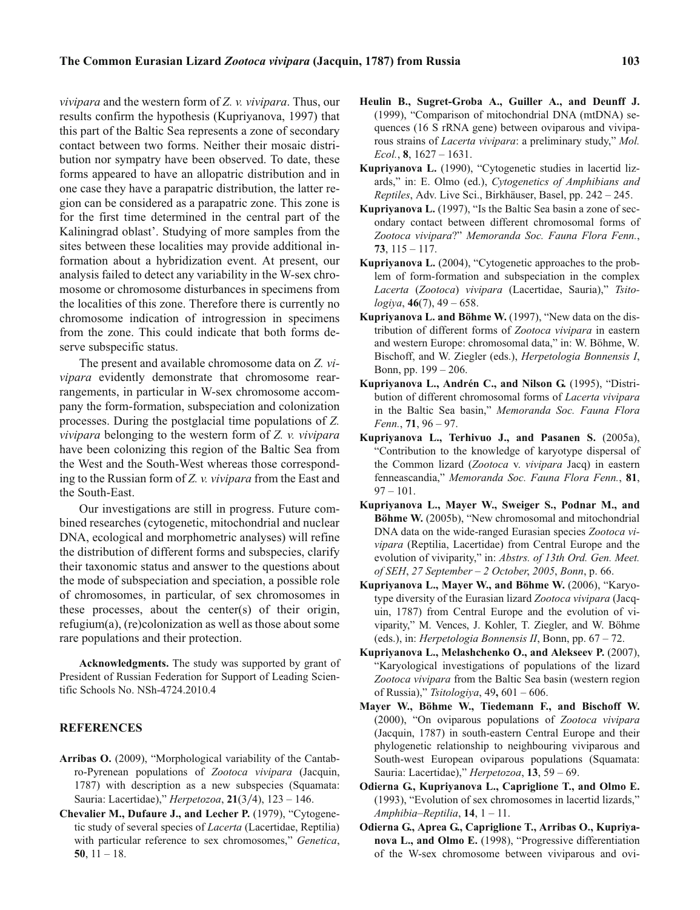*vivipara* and the western form of *Z. v. vivipara*. Thus, our results confirm the hypothesis (Kupriyanova, 1997) that this part of the Baltic Sea represents a zone of secondary contact between two forms. Neither their mosaic distribution nor sympatry have been observed. To date, these forms appeared to have an allopatric distribution and in one case they have a parapatric distribution, the latter region can be considered as a parapatric zone. This zone is for the first time determined in the central part of the Kaliningrad oblast'. Studying of more samples from the sites between these localities may provide additional information about a hybridization event. At present, our analysis failed to detect any variability in the W-sex chromosome or chromosome disturbances in specimens from the localities of this zone. Therefore there is currently no chromosome indication of introgression in specimens from the zone. This could indicate that both forms deserve subspecific status.

The present and available chromosome data on *Z. vivipara* evidently demonstrate that chromosome rearrangements, in particular in W-sex chromosome accompany the form-formation, subspeciation and colonization processes. During the postglacial time populations of *Z. vivipara* belonging to the western form of *Z. v. vivipara* have been colonizing this region of the Baltic Sea from the West and the South-West whereas those corresponding to the Russian form of *Z. v. vivipara* from the East and the South-East.

Our investigations are still in progress. Future combined researches (cytogenetic, mitochondrial and nuclear DNA, ecological and morphometric analyses) will refine the distribution of different forms and subspecies, clarify their taxonomic status and answer to the questions about the mode of subspeciation and speciation, a possible role of chromosomes, in particular, of sex chromosomes in these processes, about the center(s) of their origin, refugium(a), (re)colonization as well as those about some rare populations and their protection.

**Acknowledgments.** The study was supported by grant of President of Russian Federation for Support of Leading Scientific Schools No. NSh-4724.2010.4

## **REFERENCES**

- **Arribas O.** (2009), "Morphological variability of the Cantabro-Pyrenean populations of *Zootoca vivipara* (Jacquin, 1787) with description as a new subspecies (Squamata: Sauria: Lacertidae)," *Herpetozoa*, 21(3/4), 123 - 146.
- **Chevalier M., Dufaure J., and Lecher P.** (1979), "Cytogenetic study of several species of *Lacerta* (Lacertidae, Reptilia) with particular reference to sex chromosomes," *Genetica*, **50**, 11 – 18.
- **Heulin B., Sugret-Groba A., Guiller A., and Deunff J.** (1999), "Comparison of mitochondrial DNA (mtDNA) sequences (16 S rRNA gene) between oviparous and viviparous strains of *Lacerta vivipara*: a preliminary study," *Mol. Ecol.*, **8**, 1627 – 1631.
- **Kupriyanova L.** (1990), "Cytogenetic studies in lacertid lizards," in: E. Olmo (ed.), *Cytogenetics of Amphibians and Reptiles*, Adv. Live Sci., Birkhäuser, Basel, pp. 242 – 245.
- **Kupriyanova L.** (1997), "Is the Baltic Sea basin a zone of secondary contact between different chromosomal forms of *Zootoca vivipara*?" *Memoranda Soc. Fauna Flora Fenn.*, **73**, 115 – 117.
- **Kupriyanova L.** (2004), "Cytogenetic approaches to the problem of form-formation and subspeciation in the complex *Lacerta* (*Zootoca*) *vivipara* (Lacertidae, Sauria)," *Tsitologiya*, **46**(7), 49 – 658.
- **Kupriyanova L. and Böhme W.** (1997), "New data on the distribution of different forms of *Zootoca vivipara* in eastern and western Europe: chromosomal data," in: W. Böhme, W. Bischoff, and W. Ziegler (eds.), *Herpetologia Bonnensis I*, Bonn, pp. 199 – 206.
- **Kupriyanova L., Andrén C., and Nilson G.** (1995), "Distribution of different chromosomal forms of *Lacerta vivipara* in the Baltic Sea basin," *Memoranda Soc. Fauna Flora Fenn.*, **71**, 96 – 97.
- **Kupriyanova L., Terhivuo J., and Pasanen S.** (2005a), "Contribution to the knowledge of karyotype dispersal of the Common lizard (*Zootoca* v. *vivipara* Jacq) in eastern fenneascandia," *Memoranda Soc. Fauna Flora Fenn.*, **81**,  $97 - 101.$
- **Kupriyanova L., Mayer W., Sweiger S., Podnar M., and Böhme W.** (2005b), "New chromosomal and mitochondrial DNA data on the wide-ranged Eurasian species *Zootoca vivipara* (Reptilia, Lacertidae) from Central Europe and the evolution of viviparity," in: *Abstrs. of 13th Ord. Gen. Meet. of SEH*, *27 September – 2 October*, *2005*, *Bonn*, p. 66.
- **Kupriyanova L., Mayer W., and Böhme W.** (2006), "Karyotype diversity of the Eurasian lizard *Zootoca vivipara* (Jacquin, 1787) from Central Europe and the evolution of viviparity," M. Vences, J. Kohler, T. Ziegler, and W. Böhme (eds.), in: *Herpetologia Bonnensis II*, Bonn, pp. 67 – 72.
- **Kupriyanova L., Melashchenko O., and Alekseev P.** (2007), "Karyological investigations of populations of the lizard *Zootoca vivipara* from the Baltic Sea basin (western region of Russia)," *Tsitologiya*, 49**,** 601 – 606.
- **Mayer W., Böhme W., Tiedemann F., and Bischoff W.** (2000), "On oviparous populations of *Zootoca vivipara* (Jacquin, 1787) in south-eastern Central Europe and their phylogenetic relationship to neighbouring viviparous and South-west European oviparous populations (Squamata: Sauria: Lacertidae)," *Herpetozoa*, **13**, 59 – 69.
- **Odierna G., Kupriyanova L., Capriglione T., and Olmo E.** (1993), "Evolution of sex chromosomes in lacertid lizards," *Amphibia–Reptilia*, **14**, 1 – 11.
- **Odierna G., Aprea G., Capriglione T., Arribas O., Kupriyanova L., and Olmo E.** (1998), "Progressive differentiation of the W-sex chromosome between viviparous and ovi-